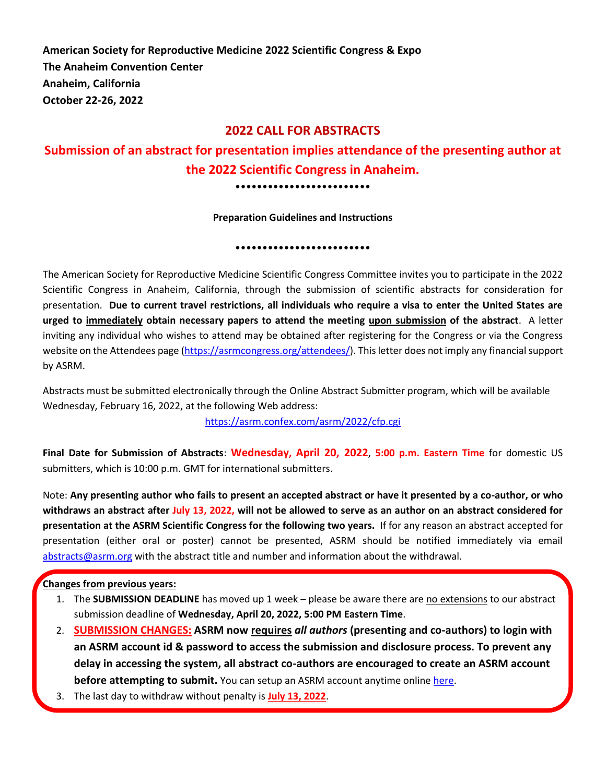**American Society for Reproductive Medicine 2022 Scientific Congress & Expo The Anaheim Convention Center Anaheim, California October 22-26, 2022**

### **2022 CALL FOR ABSTRACTS**

# **Submission of an abstract for presentation implies attendance of the presenting author at the 2022 Scientific Congress in Anaheim.**

•••••••••••••••••••••••••

**Preparation Guidelines and Instructions**

•••••••••••••••••••••••••

The American Society for Reproductive Medicine Scientific Congress Committee invites you to participate in the 2022 Scientific Congress in Anaheim, California, through the submission of scientific abstracts for consideration for presentation. **Due to current travel restrictions, all individuals who require a visa to enter the United States are urged to immediately obtain necessary papers to attend the meeting upon submission of the abstract**. A letter inviting any individual who wishes to attend may be obtained after registering for the Congress or via the Congress website on the Attendees page [\(https://asrmcongress.org/attendees/\)](https://asrmcongress.org/attendees/). This letter does not imply any financial support by ASRM.

Abstracts must be submitted electronically through the Online Abstract Submitter program, which will be available Wednesday, February 16, 2022, at the following Web address:

<https://asrm.confex.com/asrm/2022/cfp.cgi>

**Final Date for Submission of Abstracts**: **Wednesday, April 20, 2022**, **5:00 p.m. Eastern Time** for domestic US submitters, which is 10:00 p.m. GMT for international submitters.

Note: **Any presenting author who fails to present an accepted abstract or have it presented by a co-author, or who withdraws an abstract after July 13, 2022, will not be allowed to serve as an author on an abstract considered for presentation at the ASRM Scientific Congress for the following two years.** If for any reason an abstract accepted for presentation (either oral or poster) cannot be presented, ASRM should be notified immediately via email [abstracts@asrm.org](mailto:research@asrm.org) with the abstract title and number and information about the withdrawal.

### **Changes from previous years:**

- 1. The **SUBMISSION DEADLINE** has moved up 1 week please be aware there are no extensions to our abstract submission deadline of **Wednesday, April 20, 2022, 5:00 PM Eastern Time**.
- 2. **SUBMISSION CHANGES: ASRM now requires** *all authors* **(presenting and co-authors) to login with an ASRM account id & password to access the submission and disclosure process. To prevent any delay in accessing the system, all abstract co-authors are encouraged to create an ASRM account before attempting to submit.** You can setup an ASRM account anytime online [here.](https://store.asrm.org/Register-Customer?returnurl=https%3a%2f%2fstore.asrm.org%2fMy-ASRM%2fLogin)
- 3. The last day to withdraw without penalty is **July 13, 2022**.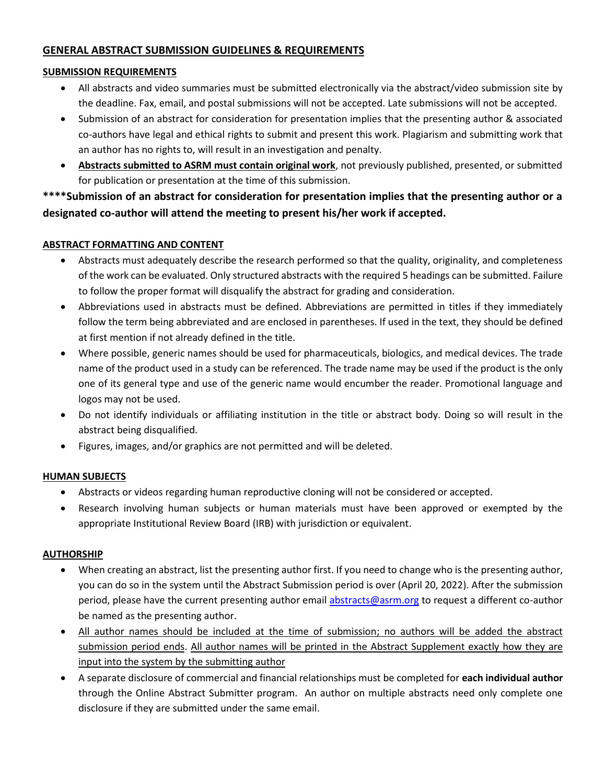### **GENERAL ABSTRACT SUBMISSION GUIDELINES & REQUIREMENTS**

### **SUBMISSION REQUIREMENTS**

- All abstracts and video summaries must be submitted electronically via the abstract/video submission site by the deadline. Fax, email, and postal submissions will not be accepted. Late submissions will not be accepted.
- Submission of an abstract for consideration for presentation implies that the presenting author & associated co-authors have legal and ethical rights to submit and present this work. Plagiarism and submitting work that an author has no rights to, will result in an investigation and penalty.
- **Abstracts submitted to ASRM must contain original work**, not previously published, presented, or submitted for publication or presentation at the time of this submission.

**\*\*\*\*Submission of an abstract for consideration for presentation implies that the presenting author or a designated co-author will attend the meeting to present his/her work if accepted.** 

### **ABSTRACT FORMATTING AND CONTENT**

- Abstracts must adequately describe the research performed so that the quality, originality, and completeness of the work can be evaluated. Only structured abstracts with the required 5 headings can be submitted. Failure to follow the proper format will disqualify the abstract for grading and consideration.
- Abbreviations used in abstracts must be defined. Abbreviations are permitted in titles if they immediately follow the term being abbreviated and are enclosed in parentheses. If used in the text, they should be defined at first mention if not already defined in the title.
- Where possible, generic names should be used for pharmaceuticals, biologics, and medical devices. The trade name of the product used in a study can be referenced. The trade name may be used if the product is the only one of its general type and use of the generic name would encumber the reader. Promotional language and logos may not be used.
- Do not identify individuals or affiliating institution in the title or abstract body. Doing so will result in the abstract being disqualified.
- Figures, images, and/or graphics are not permitted and will be deleted.

### **HUMAN SUBJECTS**

- Abstracts or videos regarding human reproductive cloning will not be considered or accepted.
- Research involving human subjects or human materials must have been approved or exempted by the appropriate Institutional Review Board (IRB) with jurisdiction or equivalent.

### **AUTHORSHIP**

- When creating an abstract, list the presenting author first. If you need to change who is the presenting author, you can do so in the system until the Abstract Submission period is over (April 20, 2022). After the submission period, please have the current presenting author email [abstracts@asrm.org](mailto:research@asrm.org) to request a different co-author be named as the presenting author.
- All author names should be included at the time of submission; no authors will be added the abstract submission period ends. All author names will be printed in the Abstract Supplement exactly how they are input into the system by the submitting author
- A separate disclosure of commercial and financial relationships must be completed for **each individual author** through the Online Abstract Submitter program. An author on multiple abstracts need only complete one disclosure if they are submitted under the same email.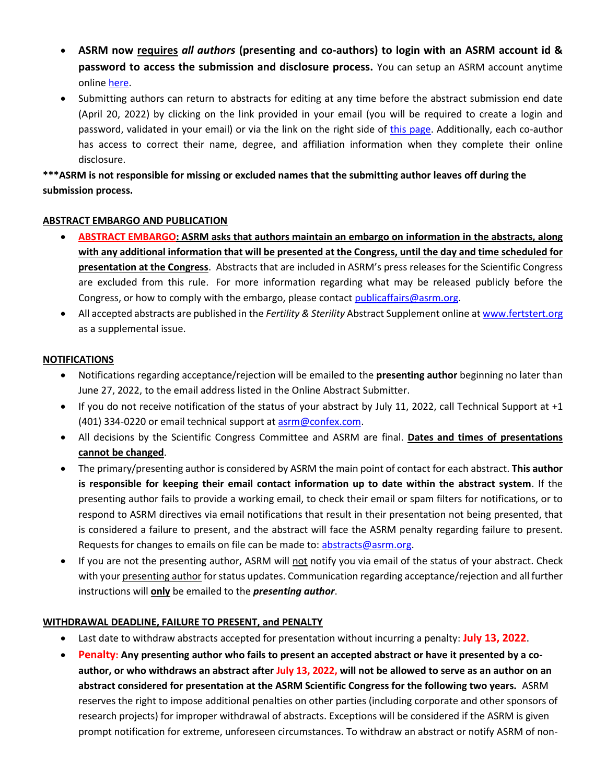- **ASRM now requires** *all authors* **(presenting and co-authors) to login with an ASRM account id & password to access the submission and disclosure process.** You can setup an ASRM account anytime onlin[e here.](https://store.asrm.org/Register-Customer?returnurl=https%3a%2f%2fstore.asrm.org%2fMy-ASRM%2fLogin)
- Submitting authors can return to abstracts for editing at any time before the abstract submission end date (April 20, 2022) by clicking on the link provided in your email (you will be required to create a login and password, validated in your email) or via the link on the right side of [this page.](https://asrm.confex.com/asrm/2022/cfp.cgi) Additionally, each co-author has access to correct their name, degree, and affiliation information when they complete their online disclosure.

**\*\*\*ASRM is not responsible for missing or excluded names that the submitting author leaves off during the submission process.**

### **ABSTRACT EMBARGO AND PUBLICATION**

- **ABSTRACT EMBARGO: ASRM asks that authors maintain an embargo on information in the abstracts, along with any additional information that will be presented at the Congress, until the day and time scheduled for presentation at the Congress**. Abstracts that are included in ASRM's press releases for the Scientific Congress are excluded from this rule. For more information regarding what may be released publicly before the Congress, or how to comply with the embargo, please contac[t publicaffairs@asrm.org.](mailto:publicaffairs@asrm.org)
- All accepted abstracts are published in the *Fertility & Sterility* Abstract Supplement online a[t www.fertstert.org](http://www.fertstert.org/) as a supplemental issue.

### **NOTIFICATIONS**

- Notifications regarding acceptance/rejection will be emailed to the **presenting author** beginning no later than June 27, 2022, to the email address listed in the Online Abstract Submitter.
- If you do not receive notification of the status of your abstract by July 11, 2022, call Technical Support at +1 (401) 334-0220 or email technical support at [asrm@confex.com.](mailto:asrm@confex.com)
- All decisions by the Scientific Congress Committee and ASRM are final. **Dates and times of presentations cannot be changed**.
- The primary/presenting author is considered by ASRM the main point of contact for each abstract. **This author is responsible for keeping their email contact information up to date within the abstract system**. If the presenting author fails to provide a working email, to check their email or spam filters for notifications, or to respond to ASRM directives via email notifications that result in their presentation not being presented, that is considered a failure to present, and the abstract will face the ASRM penalty regarding failure to present. Requests for changes to emails on file can be made to: [abstracts@asrm.org.](mailto:research@asrm.org)
- If you are not the presenting author, ASRM will not notify you via email of the status of your abstract. Check with your presenting author for status updates. Communication regarding acceptance/rejection and all further instructions will **only** be emailed to the *presenting author*.

### **WITHDRAWAL DEADLINE, FAILURE TO PRESENT, and PENALTY**

- Last date to withdraw abstracts accepted for presentation without incurring a penalty: **July 13, 2022**.
- **Penalty: Any presenting author who fails to present an accepted abstract or have it presented by a coauthor, or who withdraws an abstract after July 13, 2022, will not be allowed to serve as an author on an abstract considered for presentation at the ASRM Scientific Congress for the following two years.** ASRM reserves the right to impose additional penalties on other parties (including corporate and other sponsors of research projects) for improper withdrawal of abstracts. Exceptions will be considered if the ASRM is given prompt notification for extreme, unforeseen circumstances. To withdraw an abstract or notify ASRM of non-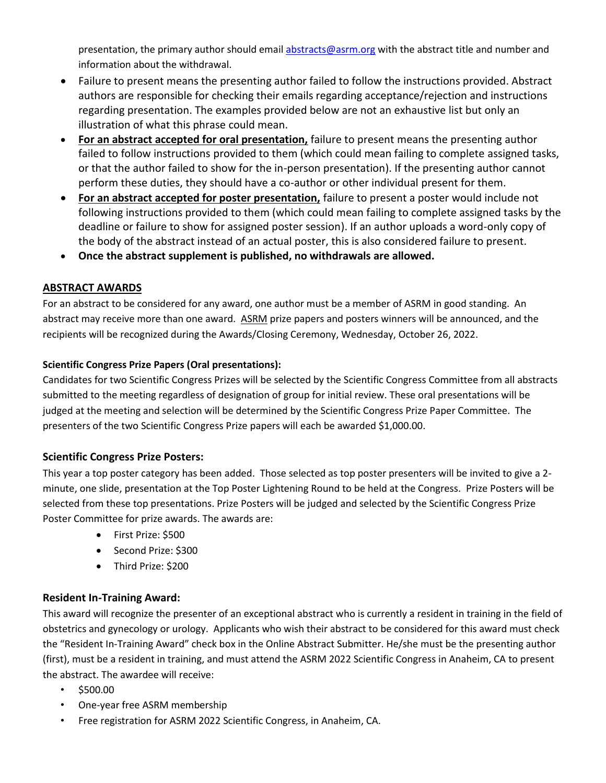presentation, the primary author should email [abstracts@asrm.org](mailto:research@asrm.org) with the abstract title and number and information about the withdrawal.

- Failure to present means the presenting author failed to follow the instructions provided. Abstract authors are responsible for checking their emails regarding acceptance/rejection and instructions regarding presentation. The examples provided below are not an exhaustive list but only an illustration of what this phrase could mean.
- **For an abstract accepted for oral presentation,** failure to present means the presenting author failed to follow instructions provided to them (which could mean failing to complete assigned tasks, or that the author failed to show for the in-person presentation). If the presenting author cannot perform these duties, they should have a co-author or other individual present for them.
- **For an abstract accepted for poster presentation,** failure to present a poster would include not following instructions provided to them (which could mean failing to complete assigned tasks by the deadline or failure to show for assigned poster session). If an author uploads a word-only copy of the body of the abstract instead of an actual poster, this is also considered failure to present.
- **Once the abstract supplement is published, no withdrawals are allowed.**

# **ABSTRACT AWARDS**

For an abstract to be considered for any award, one author must be a member of ASRM in good standing. An abstract may receive more than one award. ASRM prize papers and posters winners will be announced, and the recipients will be recognized during the Awards/Closing Ceremony, Wednesday, October 26, 2022.

## **Scientific Congress Prize Papers (Oral presentations):**

Candidates for two Scientific Congress Prizes will be selected by the Scientific Congress Committee from all abstracts submitted to the meeting regardless of designation of group for initial review. These oral presentations will be judged at the meeting and selection will be determined by the Scientific Congress Prize Paper Committee. The presenters of the two Scientific Congress Prize papers will each be awarded \$1,000.00.

## **Scientific Congress Prize Posters:**

This year a top poster category has been added. Those selected as top poster presenters will be invited to give a 2 minute, one slide, presentation at the Top Poster Lightening Round to be held at the Congress. Prize Posters will be selected from these top presentations. Prize Posters will be judged and selected by the Scientific Congress Prize Poster Committee for prize awards. The awards are:

- First Prize: \$500
- Second Prize: \$300
- Third Prize: \$200

# **Resident In-Training Award:**

This award will recognize the presenter of an exceptional abstract who is currently a resident in training in the field of obstetrics and gynecology or urology. Applicants who wish their abstract to be considered for this award must check the "Resident In-Training Award" check box in the Online Abstract Submitter. He/she must be the presenting author (first), must be a resident in training, and must attend the ASRM 2022 Scientific Congress in Anaheim, CA to present the abstract. The awardee will receive:

- $•$  \$500.00
- One-year free ASRM membership
- Free registration for ASRM 2022 Scientific Congress, in Anaheim, CA.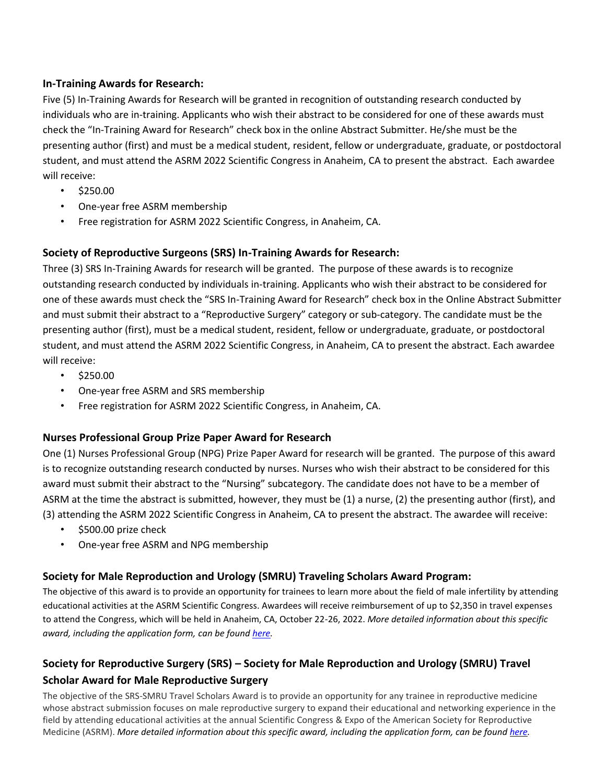### **In-Training Awards for Research:**

Five (5) In-Training Awards for Research will be granted in recognition of outstanding research conducted by individuals who are in-training. Applicants who wish their abstract to be considered for one of these awards must check the "In-Training Award for Research" check box in the online Abstract Submitter. He/she must be the presenting author (first) and must be a medical student, resident, fellow or undergraduate, graduate, or postdoctoral student, and must attend the ASRM 2022 Scientific Congress in Anaheim, CA to present the abstract. Each awardee will receive:

- \$250.00
- One-year free ASRM membership
- Free registration for ASRM 2022 Scientific Congress, in Anaheim, CA.

## **Society of Reproductive Surgeons (SRS) In-Training Awards for Research:**

Three (3) SRS In-Training Awards for research will be granted. The purpose of these awards is to recognize outstanding research conducted by individuals in-training. Applicants who wish their abstract to be considered for one of these awards must check the "SRS In-Training Award for Research" check box in the Online Abstract Submitter and must submit their abstract to a "Reproductive Surgery" category or sub-category. The candidate must be the presenting author (first), must be a medical student, resident, fellow or undergraduate, graduate, or postdoctoral student, and must attend the ASRM 2022 Scientific Congress, in Anaheim, CA to present the abstract. Each awardee will receive:

- \$250.00
- One-year free ASRM and SRS membership
- Free registration for ASRM 2022 Scientific Congress, in Anaheim, CA.

## **Nurses Professional Group Prize Paper Award for Research**

One (1) Nurses Professional Group (NPG) Prize Paper Award for research will be granted. The purpose of this award is to recognize outstanding research conducted by nurses. Nurses who wish their abstract to be considered for this award must submit their abstract to the "Nursing" subcategory. The candidate does not have to be a member of ASRM at the time the abstract is submitted, however, they must be (1) a nurse, (2) the presenting author (first), and (3) attending the ASRM 2022 Scientific Congress in Anaheim, CA to present the abstract. The awardee will receive:

- \$500.00 prize check
- One-year free ASRM and NPG membership

## **Society for Male Reproduction and Urology (SMRU) Traveling Scholars Award Program:**

The objective of this award is to provide an opportunity for trainees to learn more about the field of male infertility by attending educational activities at the ASRM Scientific Congress. Awardees will receive reimbursement of up to \$2,350 in travel expenses to attend the Congress, which will be held in Anaheim, CA, October 22-26, 2022. *More detailed information about this specific award, including the application form, can be found [here.](https://www.asrm.org/smru-traveling-scholar-award)* 

# **Society for Reproductive Surgery (SRS) – Society for Male Reproduction and Urology (SMRU) Travel Scholar Award for Male Reproductive Surgery**

The objective of the SRS-SMRU Travel Scholars Award is to provide an opportunity for any trainee in reproductive medicine whose abstract submission focuses on male reproductive surgery to expand their educational and networking experience in the field by attending educational activities at the annual Scientific Congress & Expo of the American Society for Reproductive Medicine (ASRM). More detailed information about this specific award, including the application form, can be found [here.](https://www.asrm.org/srs-smru-travel-scholar-award-for-male-reproductive-surgery/)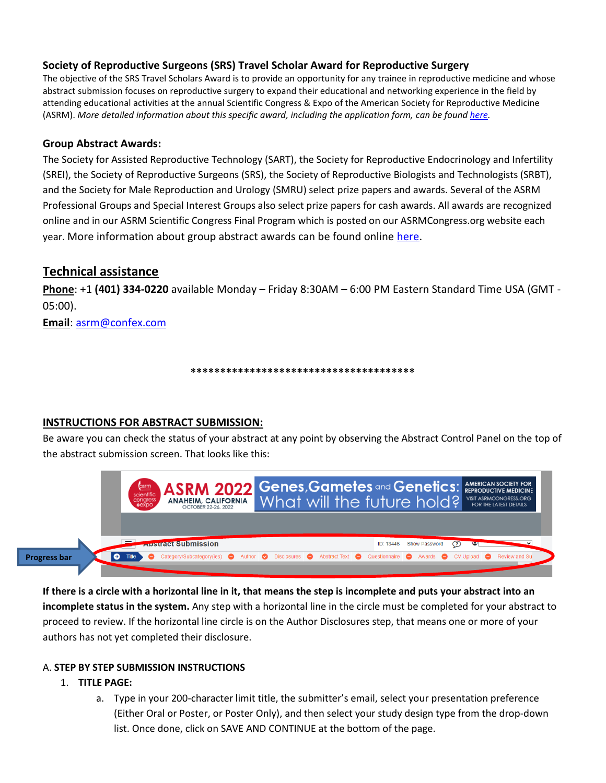### **Society of Reproductive Surgeons (SRS) Travel Scholar Award for Reproductive Surgery**

The objective of the SRS Travel Scholars Award is to provide an opportunity for any trainee in reproductive medicine and whose abstract submission focuses on reproductive surgery to expand their educational and networking experience in the field by attending educational activities at the annual Scientific Congress & Expo of the American Society for Reproductive Medicine (ASRM). *More detailed information about this specific award, including the application form, can be found [here.](https://www.asrm.org/srs-smru-travel-scholar-award-for-male-reproductive-surgery/)* 

### **Group Abstract Awards:**

The Society for Assisted Reproductive Technology (SART), the Society for Reproductive Endocrinology and Infertility (SREI), the Society of Reproductive Surgeons (SRS), the Society of Reproductive Biologists and Technologists (SRBT), and the Society for Male Reproduction and Urology (SMRU) select prize papers and awards. Several of the ASRM Professional Groups and Special Interest Groups also select prize papers for cash awards. All awards are recognized online and in our ASRM Scientific Congress Final Program which is posted on our ASRMCongress.org website each year. More information about group abstract awards can be found online [here.](https://www.asrm.org/resources/research-grants-and-awards/asrm-scientific-congress-abstract-awards/)

## **Technical assistance**

**Phone**: +1 **(401) 334-0220** available Monday – Friday 8:30AM – 6:00 PM Eastern Standard Time USA (GMT - 05:00).

**Email**: [asrm@confex.com](mailto:asrm@confex.com)

**\*\*\*\*\*\*\*\*\*\*\*\*\*\*\*\*\*\*\*\*\*\*\*\*\*\*\*\*\*\*\*\*\*\*\*\*\*\***

### **INSTRUCTIONS FOR ABSTRACT SUBMISSION:**

Be aware you can check the status of your abstract at any point by observing the Abstract Control Panel on the top of the abstract submission screen. That looks like this:

|                          | <b>asrm</b><br>scientific<br>congress<br>expo | <b>ASRM 2022 Genes, Gametes and Genetics: AMERICAN SOCIETY FOR</b><br>ANAHEIM, CALIFORNIA What will the future hold? VIST ASRMCONGRESS.ORG<br>OCTOBER 22-26, 2022        |  |  |                         |  |
|--------------------------|-----------------------------------------------|--------------------------------------------------------------------------------------------------------------------------------------------------------------------------|--|--|-------------------------|--|
| Ð<br><b>Progress bar</b> | Title                                         | <b><i><u><b>ADSURGCT</b></u></i> Submission</b><br>Category/Subcategory(ies) @ Author @ Disclosures @ Abstract Text @ Questionnaire @ Awards @ CV Upload @ Review and Su |  |  | ID: 13446 Show Password |  |

**If there is a circle with a horizontal line in it, that means the step is incomplete and puts your abstract into an incomplete status in the system.** Any step with a horizontal line in the circle must be completed for your abstract to proceed to review. If the horizontal line circle is on the Author Disclosures step, that means one or more of your authors has not yet completed their disclosure.

### A. **STEP BY STEP SUBMISSION INSTRUCTIONS**

### 1. **TITLE PAGE:**

a. Type in your 200-character limit title, the submitter's email, select your presentation preference (Either Oral or Poster, or Poster Only), and then select your study design type from the drop-down list. Once done, click on SAVE AND CONTINUE at the bottom of the page.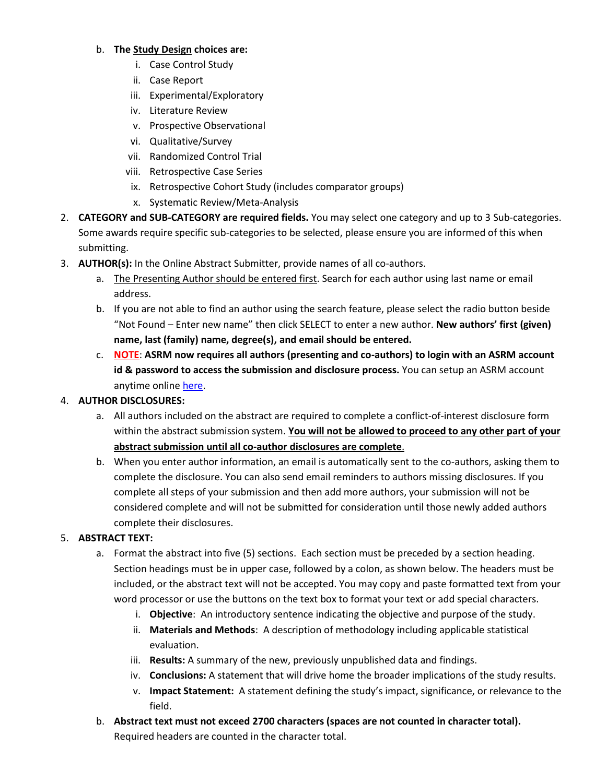### b. **The Study Design choices are:**

- i. Case Control Study
- ii. Case Report
- iii. Experimental/Exploratory
- iv. Literature Review
- v. Prospective Observational
- vi. Qualitative/Survey
- vii. Randomized Control Trial
- viii. Retrospective Case Series
- ix. Retrospective Cohort Study (includes comparator groups)
- x. Systematic Review/Meta-Analysis
- 2. **CATEGORY and SUB-CATEGORY are required fields.** You may select one category and up to 3 Sub-categories. Some awards require specific sub-categories to be selected, please ensure you are informed of this when submitting.
- 3. **AUTHOR(s):** In the Online Abstract Submitter, provide names of all co-authors.
	- a. The Presenting Author should be entered first. Search for each author using last name or email address.
	- b. If you are not able to find an author using the search feature, please select the radio button beside "Not Found – Enter new name" then click SELECT to enter a new author. **New authors' first (given) name, last (family) name, degree(s), and email should be entered.**
	- c. **NOTE**: **ASRM now requires all authors (presenting and co-authors) to login with an ASRM account id & password to access the submission and disclosure process.** You can setup an ASRM account anytime onlin[e here.](https://store.asrm.org/Register-Customer?returnurl=https%3a%2f%2fstore.asrm.org%2fMy-ASRM%2fLogin)

## 4. **AUTHOR DISCLOSURES:**

- a. All authors included on the abstract are required to complete a conflict-of-interest disclosure form within the abstract submission system. **You will not be allowed to proceed to any other part of your abstract submission until all co-author disclosures are complete**.
- b. When you enter author information, an email is automatically sent to the co-authors, asking them to complete the disclosure. You can also send email reminders to authors missing disclosures. If you complete all steps of your submission and then add more authors, your submission will not be considered complete and will not be submitted for consideration until those newly added authors complete their disclosures.

### 5. **ABSTRACT TEXT:**

- a. Format the abstract into five (5) sections. Each section must be preceded by a section heading. Section headings must be in upper case, followed by a colon, as shown below. The headers must be included, or the abstract text will not be accepted. You may copy and paste formatted text from your word processor or use the buttons on the text box to format your text or add special characters.
	- i. **Objective**: An introductory sentence indicating the objective and purpose of the study.
	- ii. **Materials and Methods**: A description of methodology including applicable statistical evaluation.
	- iii. **Results:** A summary of the new, previously unpublished data and findings.
	- iv. **Conclusions:** A statement that will drive home the broader implications of the study results.
	- v. **Impact Statement:** A statement defining the study's impact, significance, or relevance to the field.
- b. **Abstract text must not exceed 2700 characters (spaces are not counted in character total).**  Required headers are counted in the character total.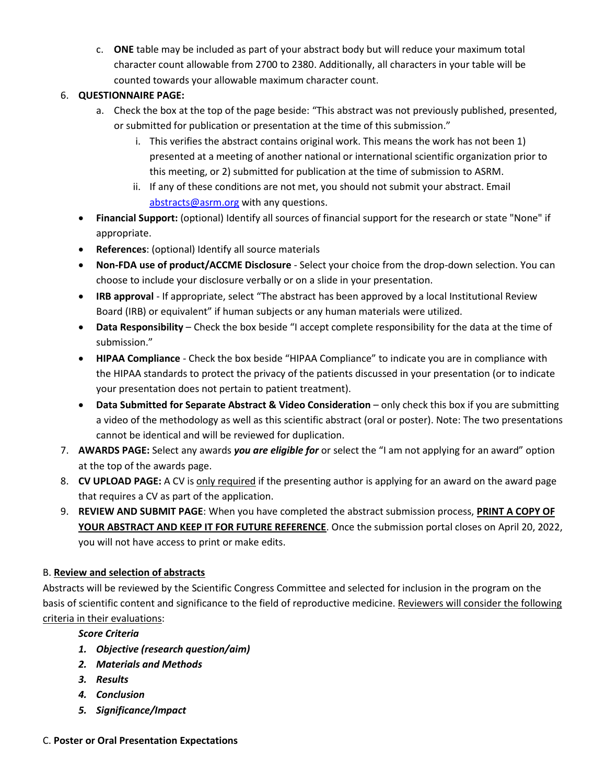c. **ONE** table may be included as part of your abstract body but will reduce your maximum total character count allowable from 2700 to 2380. Additionally, all characters in your table will be counted towards your allowable maximum character count.

## 6. **QUESTIONNAIRE PAGE:**

- a. Check the box at the top of the page beside: "This abstract was not previously published, presented, or submitted for publication or presentation at the time of this submission."
	- i. This verifies the abstract contains original work. This means the work has not been 1) presented at a meeting of another national or international scientific organization prior to this meeting, or 2) submitted for publication at the time of submission to ASRM.
	- ii. If any of these conditions are not met, you should not submit your abstract. Email [abstracts@asrm.org](mailto:research@asrm.org) with any questions.
- **Financial Support:** (optional) Identify all sources of financial support for the research or state "None" if appropriate.
- **References**: (optional) Identify all source materials
- **Non-FDA use of product/ACCME Disclosure** Select your choice from the drop-down selection. You can choose to include your disclosure verbally or on a slide in your presentation.
- **IRB approval** If appropriate, select "The abstract has been approved by a local Institutional Review Board (IRB) or equivalent" if human subjects or any human materials were utilized.
- **Data Responsibility** Check the box beside "I accept complete responsibility for the data at the time of submission."
- **HIPAA Compliance** Check the box beside "HIPAA Compliance" to indicate you are in compliance with the HIPAA standards to protect the privacy of the patients discussed in your presentation (or to indicate your presentation does not pertain to patient treatment).
- **Data Submitted for Separate Abstract & Video Consideration** only check this box if you are submitting a video of the methodology as well as this scientific abstract (oral or poster). Note: The two presentations cannot be identical and will be reviewed for duplication.
- 7. **AWARDS PAGE:** Select any awards *you are eligible for* or select the "I am not applying for an award" option at the top of the awards page.
- 8. **CV UPLOAD PAGE:** A CV is only required if the presenting author is applying for an award on the award page that requires a CV as part of the application.
- 9. **REVIEW AND SUBMIT PAGE**: When you have completed the abstract submission process, **PRINT A COPY OF YOUR ABSTRACT AND KEEP IT FOR FUTURE REFERENCE**. Once the submission portal closes on April 20, 2022, you will not have access to print or make edits.

# B. **Review and selection of abstracts**

Abstracts will be reviewed by the Scientific Congress Committee and selected for inclusion in the program on the basis of scientific content and significance to the field of reproductive medicine. Reviewers will consider the following criteria in their evaluations:

# *Score Criteria*

- *1. Objective (research question/aim)*
- *2. Materials and Methods*
- *3. Results*
- *4. Conclusion*
- *5. Significance/Impact*

### C. **Poster or Oral Presentation Expectations**